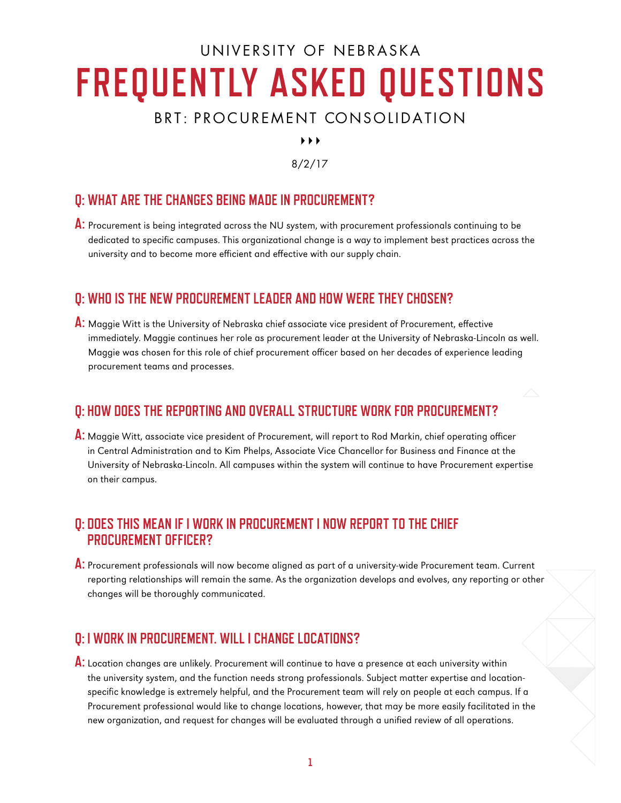# UNIVERSITY OF NEBRASKA **FREQUENTLY ASKED QUESTIONS**

# BRT: PROCUREMENT CONSOLIDATION

 $\blacktriangleright$   $\blacktriangleright$   $\blacktriangleright$ 

8/2/17

## **Q: WHAT ARE THE CHANGES BEING MADE IN PROCUREMENT?**

**A:** Procurement is being integrated across the NU system, with procurement professionals continuing to be dedicated to specific campuses. This organizational change is a way to implement best practices across the university and to become more efficient and effective with our supply chain.

### **Q: WHO IS THE NEW PROCUREMENT LEADER AND HOW WERE THEY CHOSEN?**

**A:** Maggie Witt is the University of Nebraska chief associate vice president of Procurement, effective immediately. Maggie continues her role as procurement leader at the University of Nebraska-Lincoln as well. Maggie was chosen for this role of chief procurement officer based on her decades of experience leading procurement teams and processes.

## **Q: HOW DOES THE REPORTING AND OVERALL STRUCTURE WORK FOR PROCUREMENT?**

**A:** Maggie Witt, associate vice president of Procurement, will report to Rod Markin, chief operating officer in Central Administration and to Kim Phelps, Associate Vice Chancellor for Business and Finance at the University of Nebraska-Lincoln. All campuses within the system will continue to have Procurement expertise on their campus.

#### **Q: DOES THIS MEAN IF I WORK IN PROCUREMENT I NOW REPORT TO THE CHIEF PROCUREMENT OFFICER?**

**A:** Procurement professionals will now become aligned as part of a university-wide Procurement team. Current reporting relationships will remain the same. As the organization develops and evolves, any reporting or other changes will be thoroughly communicated.

### **Q: I WORK IN PROCUREMENT. WILL I CHANGE LOCATIONS?**

**A:** Location changes are unlikely. Procurement will continue to have a presence at each university within the university system, and the function needs strong professionals. Subject matter expertise and locationspecific knowledge is extremely helpful, and the Procurement team will rely on people at each campus. If a Procurement professional would like to change locations, however, that may be more easily facilitated in the new organization, and request for changes will be evaluated through a unified review of all operations.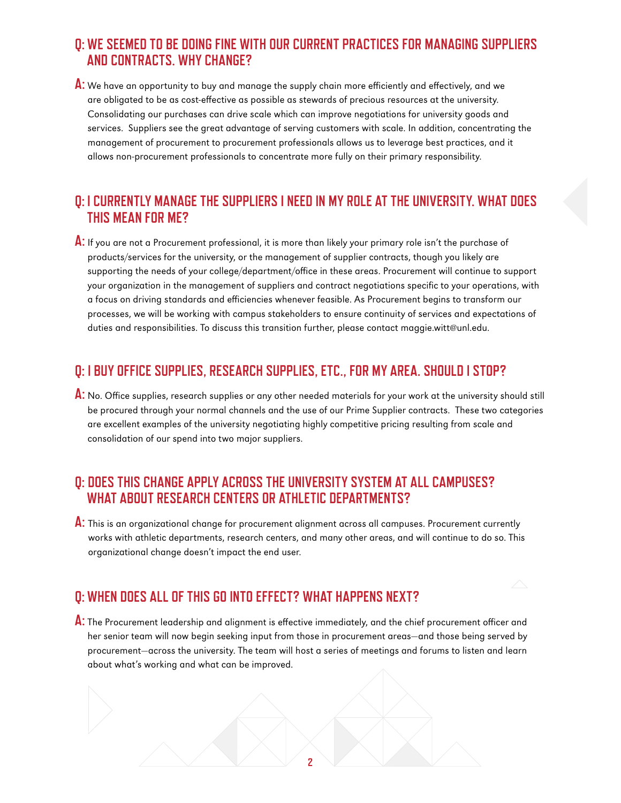## **Q: WE SEEMED TO BE DOING FINE WITH OUR CURRENT PRACTICES FOR MANAGING SUPPLIERS AND CONTRACTS. WHY CHANGE?**

**A:** We have an opportunity to buy and manage the supply chain more efficiently and effectively, and we are obligated to be as cost-effective as possible as stewards of precious resources at the university. Consolidating our purchases can drive scale which can improve negotiations for university goods and services. Suppliers see the great advantage of serving customers with scale. In addition, concentrating the management of procurement to procurement professionals allows us to leverage best practices, and it allows non-procurement professionals to concentrate more fully on their primary responsibility.

#### **Q: I CURRENTLY MANAGE THE SUPPLIERS I NEED IN MY ROLE AT THE UNIVERSITY. WHAT DOES THIS MEAN FOR ME?**

**A:** If you are not a Procurement professional, it is more than likely your primary role isn't the purchase of products/services for the university, or the management of supplier contracts, though you likely are supporting the needs of your college/department/office in these areas. Procurement will continue to support your organization in the management of suppliers and contract negotiations specific to your operations, with a focus on driving standards and efficiencies whenever feasible. As Procurement begins to transform our processes, we will be working with campus stakeholders to ensure continuity of services and expectations of duties and responsibilities. To discuss this transition further, please contact [maggie.witt@unl.edu.](mailto:maggie.witt@unl.edu)

#### **Q: I BUY OFFICE SUPPLIES, RESEARCH SUPPLIES, ETC., FOR MY AREA. SHOULD I STOP?**

**A:** No. Office supplies, research supplies or any other needed materials for your work at the university should still be procured through your normal channels and the use of our Prime Supplier contracts. These two categories are excellent examples of the university negotiating highly competitive pricing resulting from scale and consolidation of our spend into two major suppliers.

#### **Q: DOES THIS CHANGE APPLY ACROSS THE UNIVERSITY SYSTEM AT ALL CAMPUSES? WHAT ABOUT RESEARCH CENTERS OR ATHLETIC DEPARTMENTS?**

**A:** This is an organizational change for procurement alignment across all campuses. Procurement currently works with athletic departments, research centers, and many other areas, and will continue to do so. This organizational change doesn't impact the end user.

# **Q: WHEN DOES ALL OF THIS GO INTO EFFECT? WHAT HAPPENS NEXT?**

**A:** The Procurement leadership and alignment is effective immediately, and the chief procurement officer and her senior team will now begin seeking input from those in procurement areas—and those being served by procurement—across the university. The team will host a series of meetings and forums to listen and learn about what's working and what can be improved.